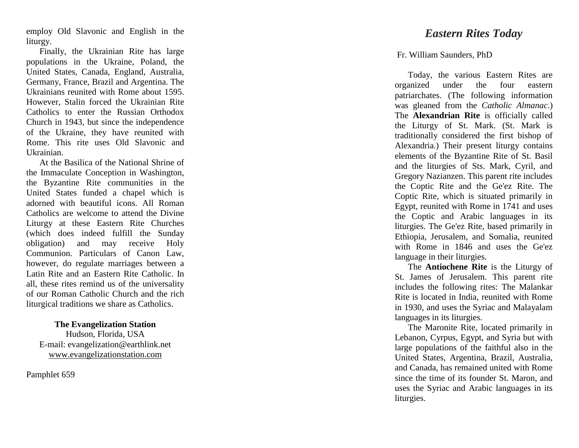employ Old Slavonic and English in the liturgy.

Finally, the Ukrainian Rite has large populations in the Ukraine, Poland, the United States, Canada, England, Australia, Germany, France, Brazil and Argentina. The Ukrainians reunited with Rome about 1595. However, Stalin forced the Ukrainian Rite Catholics to enter the Russian Orthodox Church in 1943, but since the independence of the Ukraine, they have reunited with Rome. This rite uses Old Slavonic and Ukrainian. At the Basilica of the National Shrine of

the Immaculate Conception in Washington, the Byzantine Rite communities in the United States funded a chapel which is adorned with beautiful icons. All Roman Catholics are welcome to attend the Divine Liturgy at these Eastern Rite Churches (which does indeed fulfill the Sunday obligation) and may receive Holy Communion. Particulars of Canon Law, however, do regulate marriages between a Latin Rite and an Eastern Rite Catholic. In all, these rites remind us of the universality of our Roman Catholic Church and the rich liturgical traditions we share as Catholics.

## **The Evangelization Station** Hudson, Florida, USA E -mail: evangelization@earthlink.net [www.evangelizationstation.com](http://www.pjpiisoe.org/)

Pamphlet 65 9

## *Eastern Rites Today*

## [Fr. William Saunders,](http://www.catholicculture.org/search/resultslist.cfm?requesttype=docbrowseauth&resourcetype=1&catlabel=author&catid=452) PhD

Today, the various Eastern Rites are organized under the four eastern patriarchates. (The following information was gleaned from the *Catholic Almanac*.) The **Alexandrian Rite** is officially called the Liturgy of St. Mark. (St. Mark is traditionally considered the first bishop of Alexandria.) Their present liturgy contains elements of the Byzantine Rite of St. Basil and the liturgies of Sts. Mark, Cyril, and Gregory Nazianzen. This parent rite includes the Coptic Rite and the Ge'ez Rite. The Coptic Rite, which is situated primarily in Egypt, reunited with Rome in 1741 and uses the Coptic and Arabic languages in its liturgies. The Ge'ez Rite, based primarily in Ethiopia, Jerusalem, and Somalia, reunited with Rome in 1846 and uses the Ge'ez language in their liturgies.

The **Antiochene Rite** is the Liturgy of St. James of Jerusalem. This parent rite includes the following rites: The Malankar Rite is located in India, reunited with Rome in 1930, and uses the Syriac and Malayalam languages in its liturgies.

The Maronite Rite, located primarily in Lebanon, Cyrpus, Egypt, and Syria but with large populations of the faithful also in the United States, Argentina, Brazil, Australia, and Canada, has remained united with Rome since the time of its founder St. Maron, and uses the Syriac and Arabic languages in its liturgies.